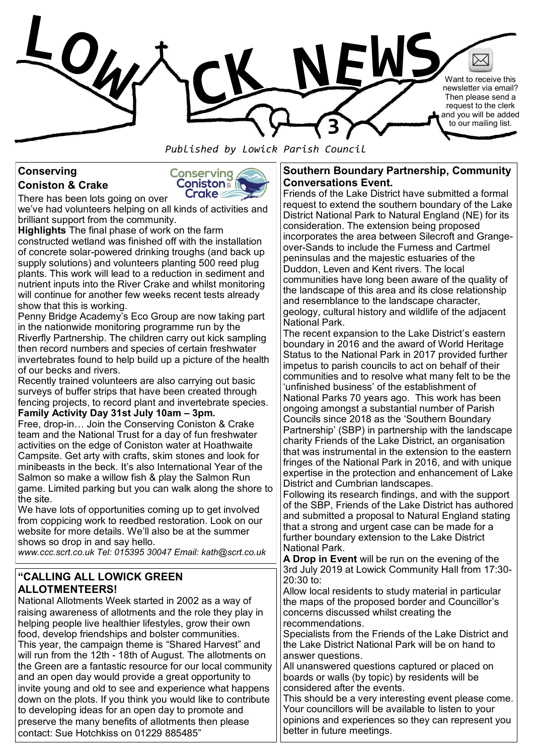

*Published by Lowick Parish Council*

# **Conserving Coniston & Crake**



we've had volunteers helping on all kinds of activities and brilliant support from the community.

**Highlights** The final phase of work on the farm constructed wetland was finished off with the installation of concrete solar-powered drinking troughs (and back up supply solutions) and volunteers planting 500 reed plug plants. This work will lead to a reduction in sediment and nutrient inputs into the River Crake and whilst monitoring will continue for another few weeks recent tests already show that this is working.

Penny Bridge Academy's Eco Group are now taking part in the nationwide monitoring programme run by the Riverfly Partnership. The children carry out kick sampling then record numbers and species of certain freshwater invertebrates found to help build up a picture of the health of our becks and rivers.

Recently trained volunteers are also carrying out basic surveys of buffer strips that have been created through fencing projects, to record plant and invertebrate species. **Family Activity Day 31st July 10am – 3pm.** 

Free, drop-in… Join the Conserving Coniston & Crake team and the National Trust for a day of fun freshwater activities on the edge of Coniston water at Hoathwaite Campsite. Get arty with crafts, skim stones and look for minibeasts in the beck. It's also International Year of the Salmon so make a willow fish & play the Salmon Run game. Limited parking but you can walk along the shore to the site.

We have lots of opportunities coming up to get involved from coppicing work to reedbed restoration. Look on our website for more details. We'll also be at the summer shows so drop in and say hello.

*www.ccc.scrt.co.uk Tel: 015395 30047 Email: kath@scrt.co.uk* 

#### **"CALLING ALL LOWICK GREEN ALLOTMENTEERS!**

National Allotments Week started in 2002 as a way of raising awareness of allotments and the role they play in helping people live healthier lifestyles, grow their own food, develop friendships and bolster communities. This year, the campaign theme is "Shared Harvest" and will run from the 12th - 18th of August. The allotments on the Green are a fantastic resource for our local community and an open day would provide a great opportunity to invite young and old to see and experience what happens down on the plots. If you think you would like to contribute to developing ideas for an open day to promote and preserve the many benefits of allotments then please contact: Sue Hotchkiss on 01229 885485"

#### **Southern Boundary Partnership, Community Conversations Event.**

Friends of the Lake District have submitted a formal request to extend the southern boundary of the Lake District National Park to Natural England (NE) for its consideration. The extension being proposed incorporates the area between Silecroft and Grangeover-Sands to include the Furness and Cartmel peninsulas and the majestic estuaries of the Duddon, Leven and Kent rivers. The local communities have long been aware of the quality of the landscape of this area and its close relationship and resemblance to the landscape character, geology, cultural history and wildlife of the adjacent National Park.

The recent expansion to the Lake District's eastern boundary in 2016 and the award of World Heritage Status to the National Park in 2017 provided further impetus to parish councils to act on behalf of their communities and to resolve what many felt to be the 'unfinished business' of the establishment of National Parks 70 years ago. This work has been ongoing amongst a substantial number of Parish Councils since 2018 as the 'Southern Boundary Partnership' (SBP) in partnership with the landscape charity Friends of the Lake District, an organisation that was instrumental in the extension to the eastern fringes of the National Park in 2016, and with unique expertise in the protection and enhancement of Lake District and Cumbrian landscapes.

Following its research findings, and with the support of the SBP, Friends of the Lake District has authored and submitted a proposal to Natural England stating that a strong and urgent case can be made for a further boundary extension to the Lake District National Park.

**A Drop in Event** will be run on the evening of the 3rd July 2019 at Lowick Community Hall from 17:30- 20:30 to:

Allow local residents to study material in particular the maps of the proposed border and Councillor's concerns discussed whilst creating the recommendations.

Specialists from the Friends of the Lake District and the Lake District National Park will be on hand to answer questions.

All unanswered questions captured or placed on boards or walls (by topic) by residents will be considered after the events.

This should be a very interesting event please come. Your councillors will be available to listen to your opinions and experiences so they can represent you better in future meetings.